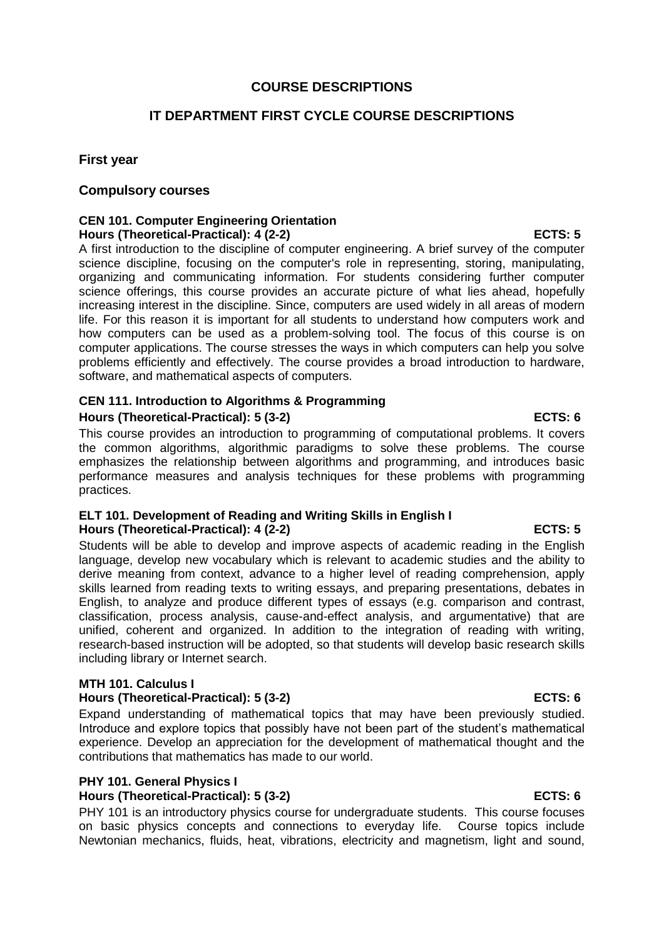## **COURSE DESCRIPTIONS**

# **IT DEPARTMENT FIRST CYCLE COURSE DESCRIPTIONS**

### **First year**

### **Compulsory courses**

#### **CEN 101. Computer Engineering Orientation Hours (Theoretical-Practical): 4 (2-2) ECTS: 5**

A first introduction to the discipline of computer engineering. A brief survey of the computer science discipline, focusing on the computer's role in representing, storing, manipulating, organizing and communicating information. For students considering further computer science offerings, this course provides an accurate picture of what lies ahead, hopefully increasing interest in the discipline. Since, computers are used widely in all areas of modern life. For this reason it is important for all students to understand how computers work and how computers can be used as a problem-solving tool. The focus of this course is on computer applications. The course stresses the ways in which computers can help you solve problems efficiently and effectively. The course provides a broad introduction to hardware, software, and mathematical aspects of computers.

## **CEN 111. Introduction to Algorithms & Programming Hours (Theoretical-Practical): 5 (3-2) ECTS: 6**

This course provides an introduction to programming of computational problems. It covers the common algorithms, algorithmic paradigms to solve these problems. The course emphasizes the relationship between algorithms and programming, and introduces basic performance measures and analysis techniques for these problems with programming practices.

#### **ELT 101. Development of Reading and Writing Skills in English I Hours (Theoretical-Practical): 4 (2-2) ECTS: 5**

Students will be able to develop and improve aspects of academic reading in the English language, develop new vocabulary which is relevant to academic studies and the ability to derive meaning from context, advance to a higher level of reading comprehension, apply skills learned from reading texts to writing essays, and preparing presentations, debates in English, to analyze and produce different types of essays (e.g. comparison and contrast, classification, process analysis, cause-and-effect analysis, and argumentative) that are unified, coherent and organized. In addition to the integration of reading with writing, research-based instruction will be adopted, so that students will develop basic research skills including library or Internet search.

### **MTH 101. Calculus I**

### **Hours (Theoretical-Practical): 5 (3-2) ECTS: 6**

Expand understanding of mathematical topics that may have been previously studied. Introduce and explore topics that possibly have not been part of the student's mathematical experience. Develop an appreciation for the development of mathematical thought and the contributions that mathematics has made to our world.

### **PHY 101. General Physics I**

### **Hours (Theoretical-Practical): 5 (3-2) ECTS: 6**

PHY 101 is an introductory physics course for undergraduate students. This course focuses on basic physics concepts and connections to everyday life. Course topics include Newtonian mechanics, fluids, heat, vibrations, electricity and magnetism, light and sound,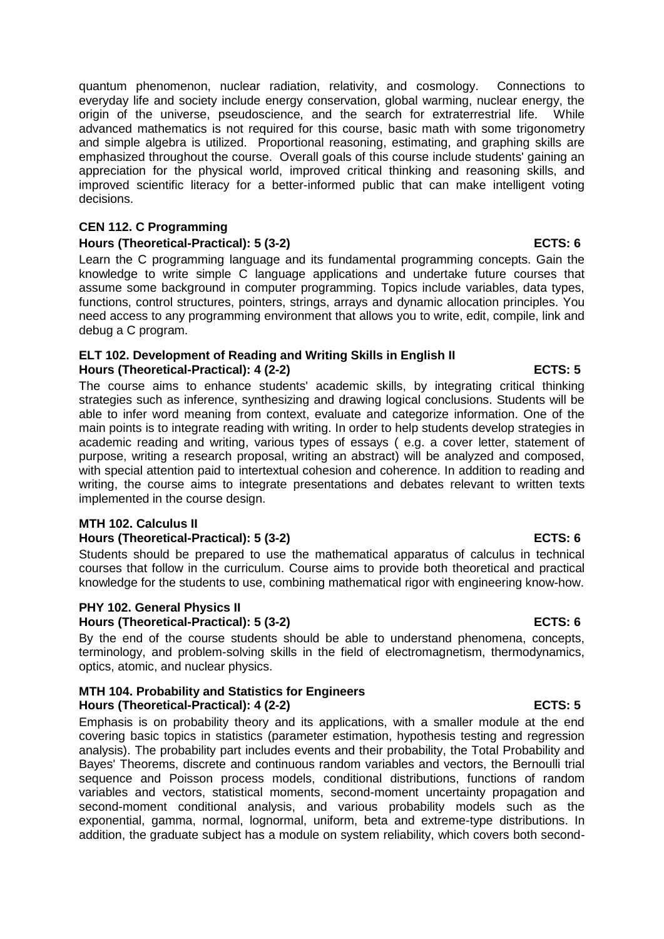quantum phenomenon, nuclear radiation, relativity, and cosmology. Connections to everyday life and society include energy conservation, global warming, nuclear energy, the origin of the universe, pseudoscience, and the search for extraterrestrial life. While advanced mathematics is not required for this course, basic math with some trigonometry and simple algebra is utilized. Proportional reasoning, estimating, and graphing skills are emphasized throughout the course. Overall goals of this course include students' gaining an appreciation for the physical world, improved critical thinking and reasoning skills, and improved scientific literacy for a better-informed public that can make intelligent voting decisions.

### **CEN 112. C Programming**

#### **Hours (Theoretical-Practical): 5 (3-2) ECTS: 6**

Learn the C programming language and its fundamental programming concepts. Gain the knowledge to write simple C language applications and undertake future courses that assume some background in computer programming. Topics include variables, data types, functions, control structures, pointers, strings, arrays and dynamic allocation principles. You need access to any programming environment that allows you to write, edit, compile, link and debug a C program.

#### **ELT 102. Development of Reading and Writing Skills in English II Hours (Theoretical-Practical): 4 (2-2) ECTS: 5**

The course aims to enhance students' academic skills, by integrating critical thinking strategies such as inference, synthesizing and drawing logical conclusions. Students will be able to infer word meaning from context, evaluate and categorize information. One of the main points is to integrate reading with writing. In order to help students develop strategies in academic reading and writing, various types of essays ( e.g. a cover letter, statement of purpose, writing a research proposal, writing an abstract) will be analyzed and composed, with special attention paid to intertextual cohesion and coherence. In addition to reading and writing, the course aims to integrate presentations and debates relevant to written texts implemented in the course design.

#### **MTH 102. Calculus II**

### **Hours (Theoretical-Practical): 5 (3-2)** ECTS: 6

Students should be prepared to use the mathematical apparatus of calculus in technical courses that follow in the curriculum. Course aims to provide both theoretical and practical knowledge for the students to use, combining mathematical rigor with engineering know-how.

#### **PHY 102. General Physics II**

### **Hours (Theoretical-Practical): 5 (3-2) ECTS: 6**

By the end of the course students should be able to understand phenomena, concepts, terminology, and problem-solving skills in the field of electromagnetism, thermodynamics, optics, atomic, and nuclear physics.

## **MTH 104. Probability and Statistics for Engineers Hours (Theoretical-Practical): 4 (2-2) ECTS: 5**

Emphasis is on probability theory and its applications, with a smaller module at the end covering basic topics in statistics (parameter estimation, hypothesis testing and regression analysis). The probability part includes events and their probability, the Total Probability and Bayes' Theorems, discrete and continuous random variables and vectors, the Bernoulli trial sequence and Poisson process models, conditional distributions, functions of random variables and vectors, statistical moments, second-moment uncertainty propagation and second-moment conditional analysis, and various probability models such as the exponential, gamma, normal, lognormal, uniform, beta and extreme-type distributions. In addition, the graduate subject has a module on system reliability, which covers both second-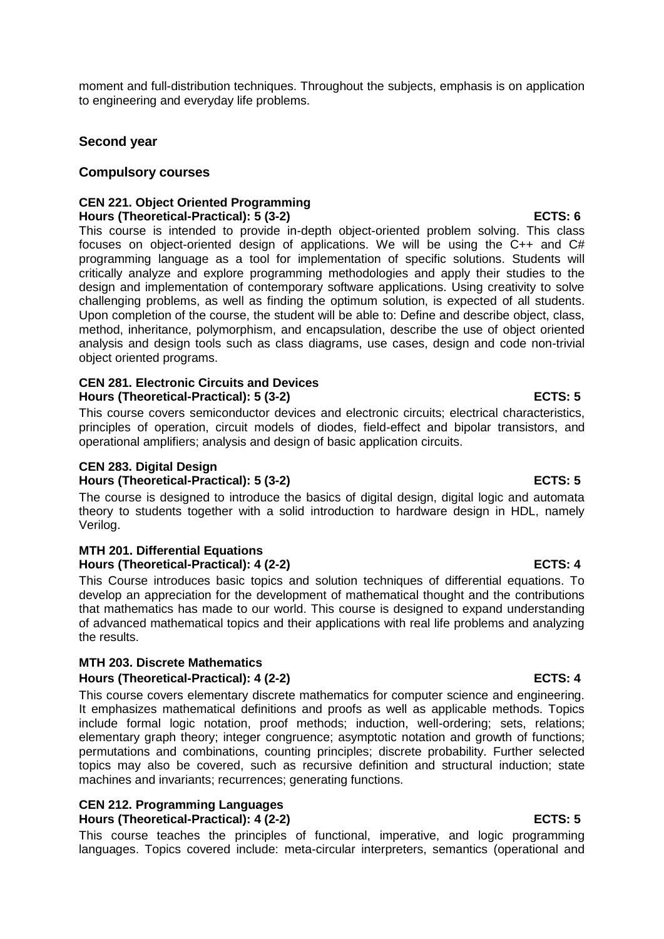moment and full-distribution techniques. Throughout the subjects, emphasis is on application to engineering and everyday life problems.

## **Second year**

### **Compulsory courses**

#### **CEN 221. Object Oriented Programming Hours (Theoretical-Practical): 5 (3-2) ECTS: 6**

This course is intended to provide in-depth object-oriented problem solving. This class focuses on object-oriented design of applications. We will be using the C++ and C# programming language as a tool for implementation of specific solutions. Students will critically analyze and explore programming methodologies and apply their studies to the design and implementation of contemporary software applications. Using creativity to solve challenging problems, as well as finding the optimum solution, is expected of all students. Upon completion of the course, the student will be able to: Define and describe object, class, method, inheritance, polymorphism, and encapsulation, describe the use of object oriented analysis and design tools such as class diagrams, use cases, design and code non-trivial object oriented programs.

#### **CEN 281. Electronic Circuits and Devices Hours (Theoretical-Practical): 5 (3-2) ECTS: 5**

This course covers semiconductor devices and electronic circuits; electrical characteristics, principles of operation, circuit models of diodes, field-effect and bipolar transistors, and operational amplifiers; analysis and design of basic application circuits.

#### **CEN 283. Digital Design Hours (Theoretical-Practical): 5 (3-2) ECTS: 5**

The course is designed to introduce the basics of digital design, digital logic and automata theory to students together with a solid introduction to hardware design in HDL, namely Verilog.

### **MTH 201. Differential Equations** Hours (Theoretical-Practical): 4 (2-2) ECTS: 4

This Course introduces basic topics and solution techniques of differential equations. To develop an appreciation for the development of mathematical thought and the contributions that mathematics has made to our world. This course is designed to expand understanding of advanced mathematical topics and their applications with real life problems and analyzing the results.

### **MTH 203. Discrete Mathematics**

### Hours (Theoretical-Practical): 4 (2-2) ECTS: 4

This course covers elementary discrete mathematics for computer science and engineering. It emphasizes mathematical definitions and proofs as well as applicable methods. Topics include formal logic notation, proof methods; induction, well-ordering; sets, relations; elementary graph theory; integer congruence; asymptotic notation and growth of functions; permutations and combinations, counting principles; discrete probability. Further selected topics may also be covered, such as recursive definition and structural induction; state machines and invariants; recurrences; generating functions.

# **CEN 212. Programming Languages**

### **Hours (Theoretical-Practical): 4 (2-2) ECTS: 5**

This course teaches the principles of functional, imperative, and logic programming languages. Topics covered include: meta-circular interpreters, semantics (operational and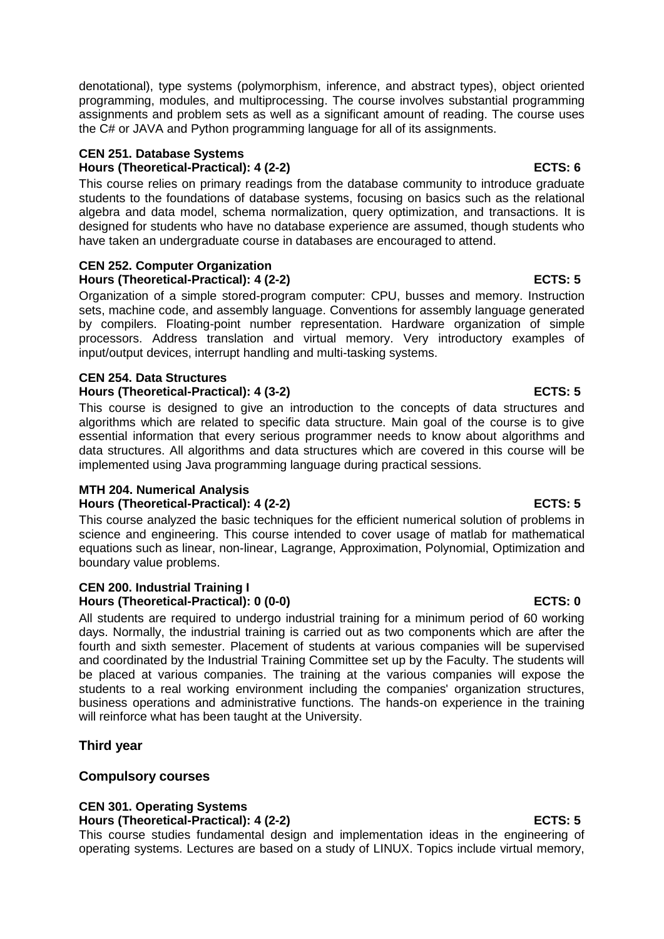denotational), type systems (polymorphism, inference, and abstract types), object oriented programming, modules, and multiprocessing. The course involves substantial programming assignments and problem sets as well as a significant amount of reading. The course uses the C# or JAVA and Python programming language for all of its assignments.

## **CEN 251. Database Systems Hours (Theoretical-Practical): 4 (2-2) ECTS: 6**

This course relies on primary readings from the database community to introduce graduate students to the foundations of database systems, focusing on basics such as the relational algebra and data model, schema normalization, query optimization, and transactions. It is designed for students who have no database experience are assumed, though students who have taken an undergraduate course in databases are encouraged to attend.

#### **CEN 252. Computer Organization Hours (Theoretical-Practical): 4 (2-2) ECTS: 5**

Organization of a simple stored-program computer: CPU, busses and memory. Instruction sets, machine code, and assembly language. Conventions for assembly language generated by compilers. Floating-point number representation. Hardware organization of simple processors. Address translation and virtual memory. Very introductory examples of input/output devices, interrupt handling and multi-tasking systems.

# **CEN 254. Data Structures Hours (Theoretical-Practical): 4 (3-2) ECTS: 5**

This course is designed to give an introduction to the concepts of data structures and algorithms which are related to specific data structure. Main goal of the course is to give essential information that every serious programmer needs to know about algorithms and data structures. All algorithms and data structures which are covered in this course will be implemented using Java programming language during practical sessions.

# **MTH 204. Numerical Analysis**

## **Hours (Theoretical-Practical): 4 (2-2) ECTS: 5**

This course analyzed the basic techniques for the efficient numerical solution of problems in science and engineering. This course intended to cover usage of matlab for mathematical equations such as linear, non-linear, Lagrange, Approximation, Polynomial, Optimization and boundary value problems.

### **CEN 200. Industrial Training I Hours (Theoretical-Practical): 0 (0-0) ECTS: 0**

All students are required to undergo industrial training for a minimum period of 60 working days. Normally, the industrial training is carried out as two components which are after the fourth and sixth semester. Placement of students at various companies will be supervised and coordinated by the Industrial Training Committee set up by the Faculty. The students will be placed at various companies. The training at the various companies will expose the students to a real working environment including the companies' organization structures, business operations and administrative functions. The hands-on experience in the training will reinforce what has been taught at the University.

# **Third year**

# **Compulsory courses**

### **CEN 301. Operating Systems Hours (Theoretical-Practical): 4 (2-2) ECTS: 5**

This course studies fundamental design and implementation ideas in the engineering of operating systems. Lectures are based on a study of LINUX. Topics include virtual memory,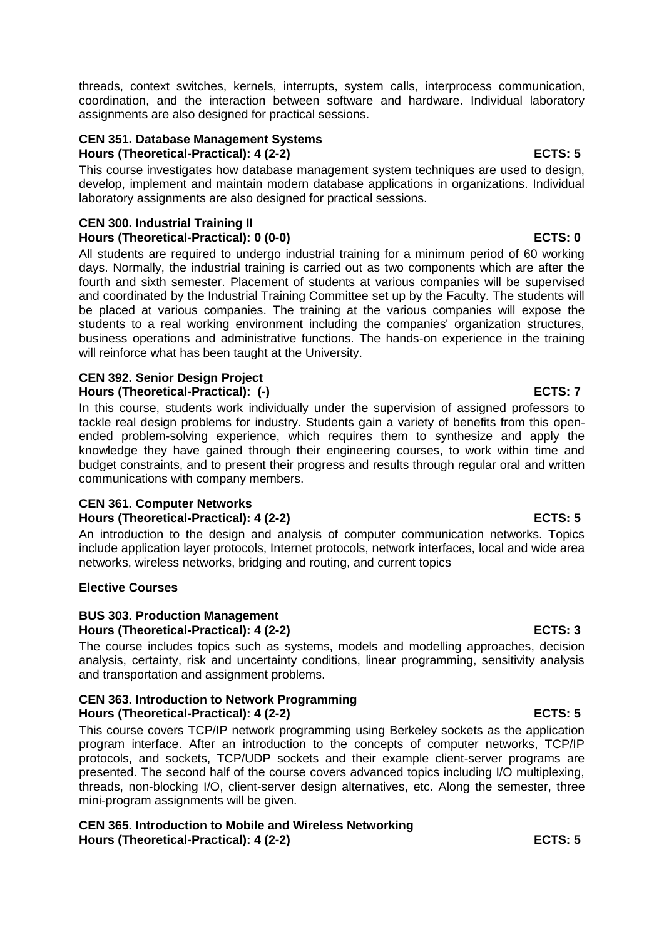threads, context switches, kernels, interrupts, system calls, interprocess communication, coordination, and the interaction between software and hardware. Individual laboratory assignments are also designed for practical sessions.

# **CEN 351. Database Management Systems**

# **Hours (Theoretical-Practical): 4 (2-2) ECTS: 5**

This course investigates how database management system techniques are used to design, develop, implement and maintain modern database applications in organizations. Individual laboratory assignments are also designed for practical sessions.

# **CEN 300. Industrial Training II Hours (Theoretical-Practical): 0 (0-0) ECTS: 0**

All students are required to undergo industrial training for a minimum period of 60 working days. Normally, the industrial training is carried out as two components which are after the fourth and sixth semester. Placement of students at various companies will be supervised and coordinated by the Industrial Training Committee set up by the Faculty. The students will be placed at various companies. The training at the various companies will expose the students to a real working environment including the companies' organization structures, business operations and administrative functions. The hands-on experience in the training will reinforce what has been taught at the University.

### **CEN 392. Senior Design Project Hours (Theoretical-Practical): (-)** And the set of the set of the set of the set of the set of the set of the set of the set of the set of the set of the set of the set of the set of the set of the set of the set of the s

In this course, students work individually under the supervision of assigned professors to tackle real design problems for industry. Students gain a variety of benefits from this openended problem-solving experience, which requires them to synthesize and apply the knowledge they have gained through their engineering courses, to work within time and budget constraints, and to present their progress and results through regular oral and written communications with company members.

# **CEN 361. Computer Networks** Hours (Theoretical-Practical): 4 (2-2) **ECTS: 5**

An introduction to the design and analysis of computer communication networks. Topics include application layer protocols, Internet protocols, network interfaces, local and wide area networks, wireless networks, bridging and routing, and current topics

# **Elective Courses**

## **BUS 303. Production Management** Hours (Theoretical-Practical): 4 (2-2) **ECTS: 3**

The course includes topics such as systems, models and modelling approaches, decision analysis, certainty, risk and uncertainty conditions, linear programming, sensitivity analysis and transportation and assignment problems.

# **CEN 363. Introduction to Network Programming Hours (Theoretical-Practical): 4 (2-2) ECTS: 5**

This course covers TCP/IP network programming using Berkeley sockets as the application program interface. After an introduction to the concepts of computer networks, TCP/IP protocols, and sockets, TCP/UDP sockets and their example client-server programs are presented. The second half of the course covers advanced topics including I/O multiplexing, threads, non-blocking I/O, client-server design alternatives, etc. Along the semester, three mini-program assignments will be given.

**CEN 365. Introduction to Mobile and Wireless Networking Hours (Theoretical-Practical): 4 (2-2) ECTS: 5**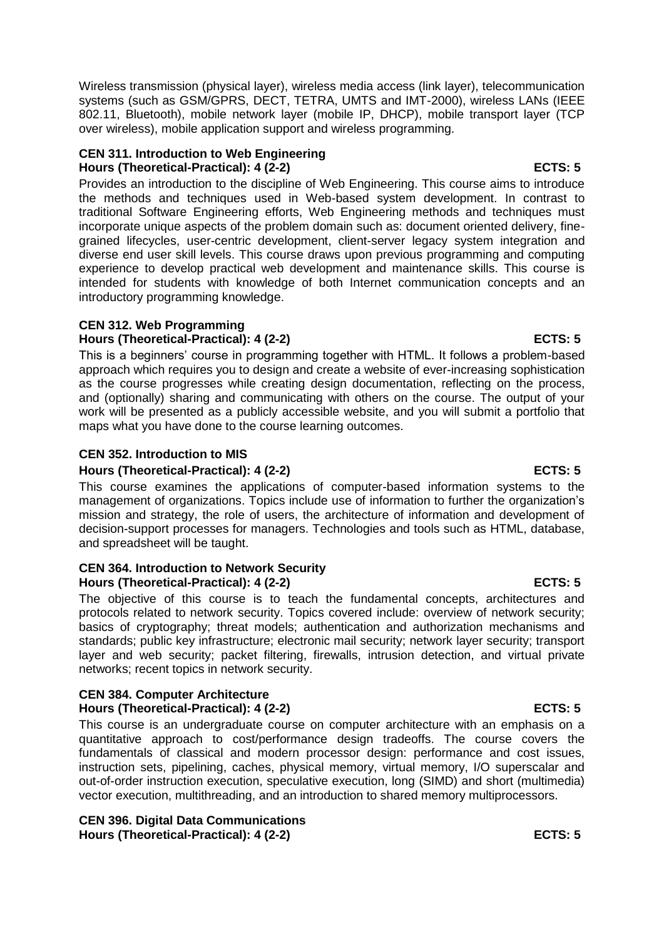Wireless transmission (physical layer), wireless media access (link layer), telecommunication systems (such as GSM/GPRS, DECT, TETRA, UMTS and IMT-2000), wireless LANs (IEEE 802.11, Bluetooth), mobile network layer (mobile IP, DHCP), mobile transport layer (TCP over wireless), mobile application support and wireless programming.

### **CEN 311. Introduction to Web Engineering Hours (Theoretical-Practical): 4 (2-2) ECTS: 5**

Provides an introduction to the discipline of Web Engineering. This course aims to introduce the methods and techniques used in Web-based system development. In contrast to traditional Software Engineering efforts, Web Engineering methods and techniques must incorporate unique aspects of the problem domain such as: document oriented delivery, finegrained lifecycles, user-centric development, client-server legacy system integration and diverse end user skill levels. This course draws upon previous programming and computing experience to develop practical web development and maintenance skills. This course is intended for students with knowledge of both Internet communication concepts and an introductory programming knowledge.

# **CEN 312. Web Programming**

## **Hours (Theoretical-Practical): 4 (2-2) ECTS: 5**

This is a beginners' course in programming together with HTML. It follows a problem-based approach which requires you to design and create a website of ever-increasing sophistication as the course progresses while creating design documentation, reflecting on the process, and (optionally) sharing and communicating with others on the course. The output of your work will be presented as a publicly accessible website, and you will submit a portfolio that maps what you have done to the course learning outcomes.

# **CEN 352. Introduction to MIS**

## **Hours (Theoretical-Practical): 4 (2-2) ECTS: 5**

This course examines the applications of computer-based information systems to the management of organizations. Topics include use of information to further the organization's mission and strategy, the role of users, the architecture of information and development of decision-support processes for managers. Technologies and tools such as HTML, database, and spreadsheet will be taught.

#### **CEN 364. Introduction to Network Security Hours (Theoretical-Practical): 4 (2-2) ECTS: 5**

The objective of this course is to teach the fundamental concepts, architectures and protocols related to network security. Topics covered include: overview of network security; basics of cryptography; threat models; authentication and authorization mechanisms and standards; public key infrastructure; electronic mail security; network layer security; transport layer and web security; packet filtering, firewalls, intrusion detection, and virtual private networks; recent topics in network security.

# **CEN 384. Computer Architecture** Hours (Theoretical-Practical): 4 (2-2) **ECTS: 5**

This course is an undergraduate course on computer architecture with an emphasis on a quantitative approach to cost/performance design tradeoffs. The course covers the fundamentals of classical and modern processor design: performance and cost issues, instruction sets, pipelining, caches, physical memory, virtual memory, I/O superscalar and out-of-order instruction execution, speculative execution, long (SIMD) and short (multimedia) vector execution, multithreading, and an introduction to shared memory multiprocessors.

**CEN 396. Digital Data Communications** Hours (Theoretical-Practical): 4 (2-2) **ECTS: 5**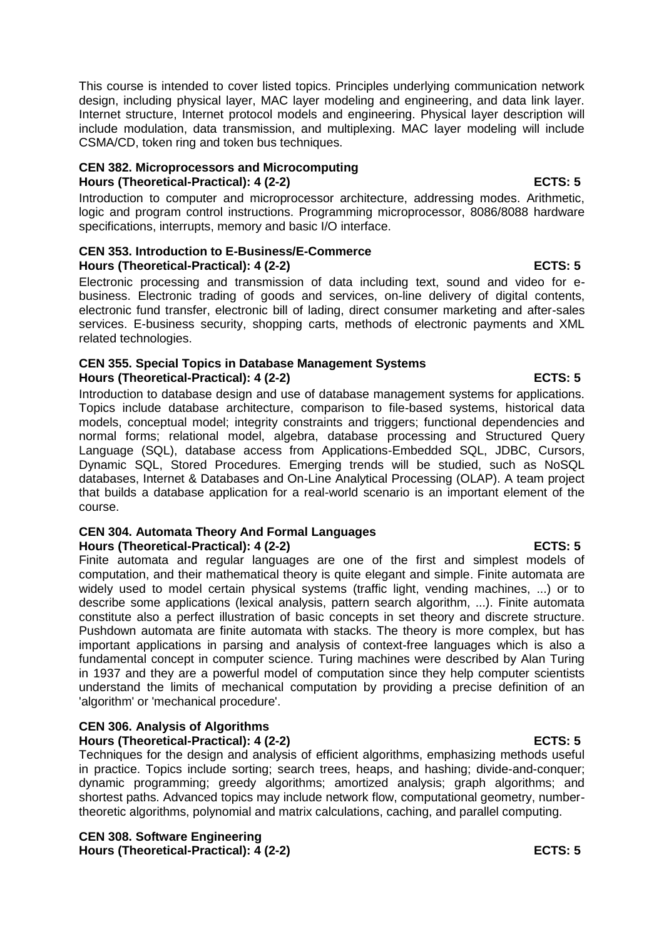This course is intended to cover listed topics. Principles underlying communication network design, including physical layer, MAC layer modeling and engineering, and data link layer. Internet structure, Internet protocol models and engineering. Physical layer description will include modulation, data transmission, and multiplexing. MAC layer modeling will include CSMA/CD, token ring and token bus techniques.

#### **CEN 382. Microprocessors and Microcomputing Hours (Theoretical-Practical): 4 (2-2) ECTS: 5**

Introduction to computer and microprocessor architecture, addressing modes. Arithmetic, logic and program control instructions. Programming microprocessor, 8086/8088 hardware specifications, interrupts, memory and basic I/O interface.

### **CEN 353. Introduction to E-Business/E-Commerce Hours (Theoretical-Practical): 4 (2-2) ECTS: 5**

Electronic processing and transmission of data including text, sound and video for ebusiness. Electronic trading of goods and services, on-line delivery of digital contents, electronic fund transfer, electronic bill of lading, direct consumer marketing and after-sales services. E-business security, shopping carts, methods of electronic payments and XML related technologies.

### **CEN 355. Special Topics in Database Management Systems Hours (Theoretical-Practical): 4 (2-2) ECTS: 5**

Introduction to database design and use of database management systems for applications. Topics include database architecture, comparison to file-based systems, historical data models, conceptual model; integrity constraints and triggers; functional dependencies and normal forms; relational model, algebra, database processing and Structured Query Language (SQL), database access from Applications-Embedded SQL, JDBC, Cursors, Dynamic SQL, Stored Procedures. Emerging trends will be studied, such as NoSQL databases, Internet & Databases and On-Line Analytical Processing (OLAP). A team project that builds a database application for a real-world scenario is an important element of the course.

#### **CEN 304. Automata Theory And Formal Languages Hours (Theoretical-Practical): 4 (2-2) ECTS: 5**

Finite automata and regular languages are one of the first and simplest models of computation, and their mathematical theory is quite elegant and simple. Finite automata are widely used to model certain physical systems (traffic light, vending machines, ...) or to describe some applications (lexical analysis, pattern search algorithm, ...). Finite automata constitute also a perfect illustration of basic concepts in set theory and discrete structure. Pushdown automata are finite automata with stacks. The theory is more complex, but has important applications in parsing and analysis of context-free languages which is also a fundamental concept in computer science. Turing machines were described by Alan Turing in 1937 and they are a powerful model of computation since they help computer scientists understand the limits of mechanical computation by providing a precise definition of an 'algorithm' or 'mechanical procedure'.

# **CEN 306. Analysis of Algorithms**

### **Hours (Theoretical-Practical): 4 (2-2) ECTS: 5**

Techniques for the design and analysis of efficient algorithms, emphasizing methods useful in practice. Topics include sorting; search trees, heaps, and hashing; divide-and-conquer; dynamic programming; greedy algorithms; amortized analysis; graph algorithms; and shortest paths. Advanced topics may include network flow, computational geometry, numbertheoretic algorithms, polynomial and matrix calculations, caching, and parallel computing.

**CEN 308. Software Engineering Hours (Theoretical-Practical): 4 (2-2) ECTS: 5**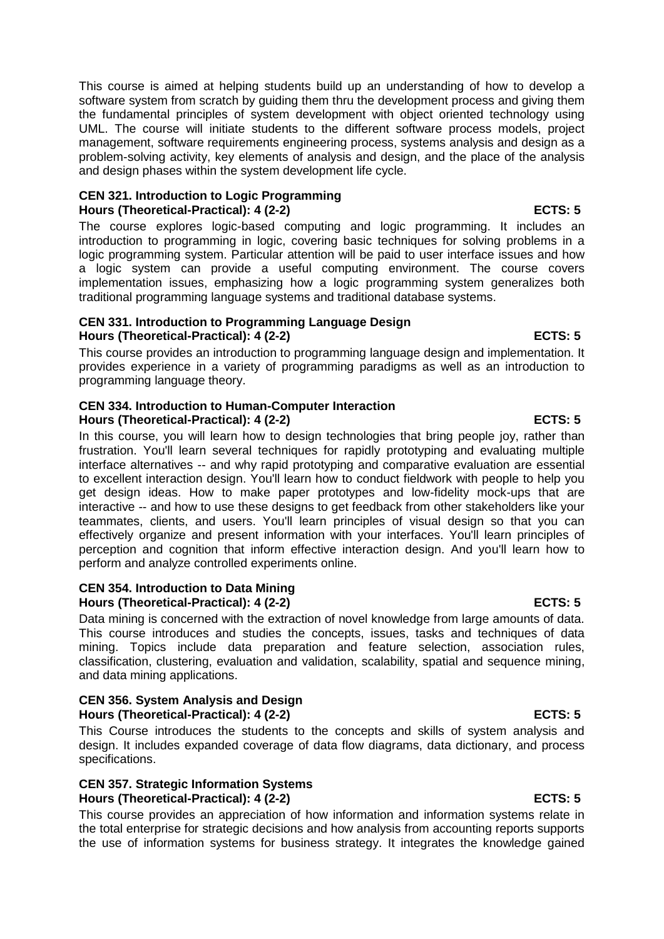This course is aimed at helping students build up an understanding of how to develop a software system from scratch by guiding them thru the development process and giving them the fundamental principles of system development with object oriented technology using UML. The course will initiate students to the different software process models, project management, software requirements engineering process, systems analysis and design as a problem-solving activity, key elements of analysis and design, and the place of the analysis and design phases within the system development life cycle.

### **CEN 321. Introduction to Logic Programming Hours (Theoretical-Practical): 4 (2-2) ECTS: 5**

The course explores logic-based computing and logic programming. It includes an introduction to programming in logic, covering basic techniques for solving problems in a logic programming system. Particular attention will be paid to user interface issues and how a logic system can provide a useful computing environment. The course covers implementation issues, emphasizing how a logic programming system generalizes both traditional programming language systems and traditional database systems.

## **CEN 331. Introduction to Programming Language Design Hours (Theoretical-Practical): 4 (2-2) ECTS: 5**

This course provides an introduction to programming language design and implementation. It provides experience in a variety of programming paradigms as well as an introduction to programming language theory.

### **CEN 334. Introduction to Human-Computer Interaction Hours (Theoretical-Practical): 4 (2-2) ECTS: 5**

In this course, you will learn how to design technologies that bring people joy, rather than frustration. You'll learn several techniques for rapidly prototyping and evaluating multiple interface alternatives -- and why rapid prototyping and comparative evaluation are essential to excellent interaction design. You'll learn how to conduct fieldwork with people to help you get design ideas. How to make paper prototypes and low-fidelity mock-ups that are interactive -- and how to use these designs to get feedback from other stakeholders like your teammates, clients, and users. You'll learn principles of visual design so that you can effectively organize and present information with your interfaces. You'll learn principles of perception and cognition that inform effective interaction design. And you'll learn how to perform and analyze controlled experiments online.

### **CEN 354. Introduction to Data Mining** Hours (Theoretical-Practical): 4 (2-2) **ECTS: 5**

Data mining is concerned with the extraction of novel knowledge from large amounts of data. This course introduces and studies the concepts, issues, tasks and techniques of data mining. Topics include data preparation and feature selection, association rules, classification, clustering, evaluation and validation, scalability, spatial and sequence mining, and data mining applications.

### **CEN 356. System Analysis and Design Hours (Theoretical-Practical): 4 (2-2) ECTS: 5**

This Course introduces the students to the concepts and skills of system analysis and design. It includes expanded coverage of data flow diagrams, data dictionary, and process specifications.

### **CEN 357. Strategic Information Systems Hours (Theoretical-Practical): 4 (2-2) ECTS: 5**

This course provides an appreciation of how information and information systems relate in the total enterprise for strategic decisions and how analysis from accounting reports supports the use of information systems for business strategy. It integrates the knowledge gained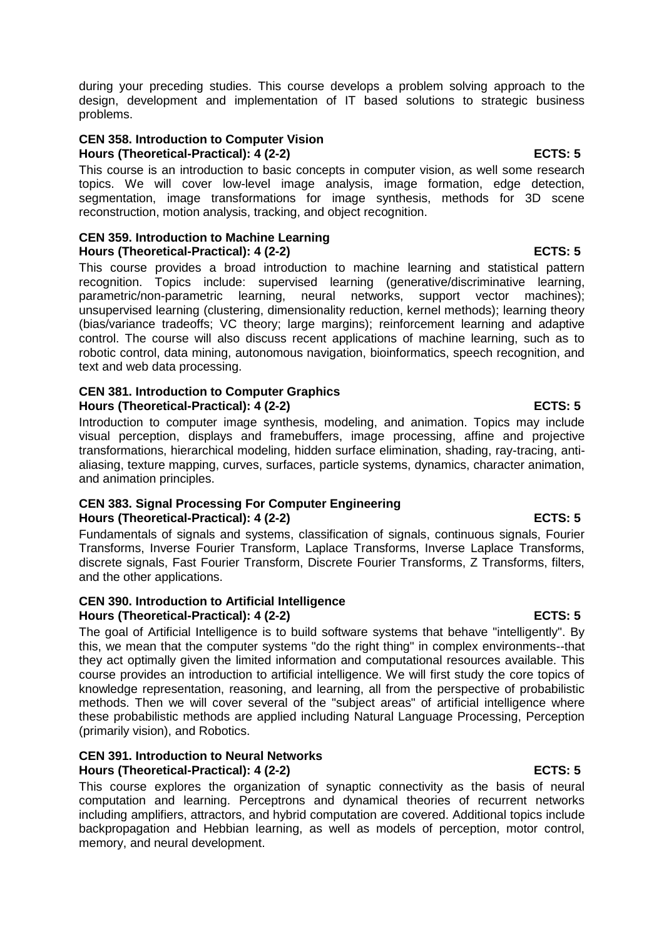during your preceding studies. This course develops a problem solving approach to the design, development and implementation of IT based solutions to strategic business problems.

#### **CEN 358. Introduction to Computer Vision Hours (Theoretical-Practical): 4 (2-2) ECTS: 5**

This course is an introduction to basic concepts in computer vision, as well some research topics. We will cover low-level image analysis, image formation, edge detection, segmentation, image transformations for image synthesis, methods for 3D scene reconstruction, motion analysis, tracking, and object recognition.

#### **CEN 359. Introduction to Machine Learning Hours (Theoretical-Practical): 4 (2-2) ECTS: 5**

This course provides a broad introduction to machine learning and statistical pattern recognition. Topics include: supervised learning (generative/discriminative learning, parametric/non-parametric learning, neural networks, support vector machines); unsupervised learning (clustering, dimensionality reduction, kernel methods); learning theory (bias/variance tradeoffs; VC theory; large margins); reinforcement learning and adaptive control. The course will also discuss recent applications of machine learning, such as to robotic control, data mining, autonomous navigation, bioinformatics, speech recognition, and text and web data processing.

### **CEN 381. Introduction to Computer Graphics** Hours (Theoretical-Practical): 4 (2-2) **ECTS: 5**

Introduction to computer image synthesis, modeling, and animation. Topics may include visual perception, displays and framebuffers, image processing, affine and projective transformations, hierarchical modeling, hidden surface elimination, shading, ray-tracing, antialiasing, texture mapping, curves, surfaces, particle systems, dynamics, character animation, and animation principles.

### **CEN 383. Signal Processing For Computer Engineering** Hours (Theoretical-Practical): 4 (2-2) ECTS: 5

Fundamentals of signals and systems, classification of signals, continuous signals, Fourier Transforms, Inverse Fourier Transform, Laplace Transforms, Inverse Laplace Transforms, discrete signals, Fast Fourier Transform, Discrete Fourier Transforms, Z Transforms, filters, and the other applications.

### **CEN 390. Introduction to Artificial Intelligence Hours (Theoretical-Practical): 4 (2-2) ECTS: 5**

The goal of Artificial Intelligence is to build software systems that behave "intelligently". By this, we mean that the computer systems "do the right thing" in complex environments--that they act optimally given the limited information and computational resources available. This course provides an introduction to artificial intelligence. We will first study the core topics of knowledge representation, reasoning, and learning, all from the perspective of probabilistic methods. Then we will cover several of the "subject areas" of artificial intelligence where these probabilistic methods are applied including Natural Language Processing, Perception (primarily vision), and Robotics.

## **CEN 391. Introduction to Neural Networks Hours (Theoretical-Practical): 4 (2-2) ECTS: 5**

This course explores the organization of synaptic connectivity as the basis of neural computation and learning. Perceptrons and dynamical theories of recurrent networks including amplifiers, attractors, and hybrid computation are covered. Additional topics include backpropagation and Hebbian learning, as well as models of perception, motor control, memory, and neural development.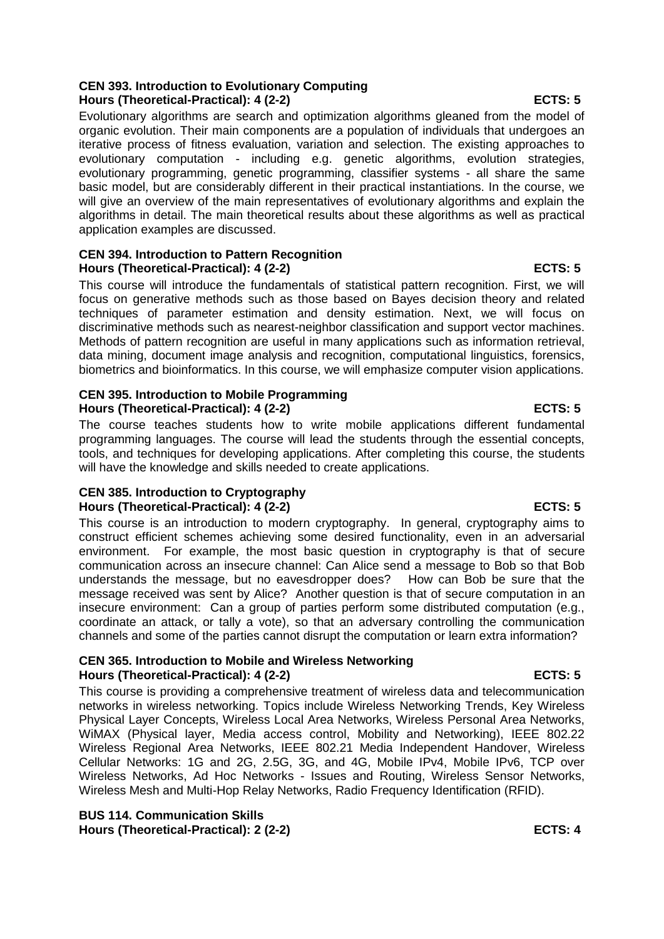# **CEN 393. Introduction to Evolutionary Computing Hours (Theoretical-Practical): 4 (2-2) ECTS: 5**

Evolutionary algorithms are search and optimization algorithms gleaned from the model of organic evolution. Their main components are a population of individuals that undergoes an iterative process of fitness evaluation, variation and selection. The existing approaches to evolutionary computation - including e.g. genetic algorithms, evolution strategies, evolutionary programming, genetic programming, classifier systems - all share the same basic model, but are considerably different in their practical instantiations. In the course, we will give an overview of the main representatives of evolutionary algorithms and explain the algorithms in detail. The main theoretical results about these algorithms as well as practical application examples are discussed.

### **CEN 394. Introduction to Pattern Recognition Hours (Theoretical-Practical): 4 (2-2) ECTS: 5**

This course will introduce the fundamentals of statistical pattern recognition. First, we will focus on generative methods such as those based on Bayes decision theory and related techniques of parameter estimation and density estimation. Next, we will focus on discriminative methods such as nearest-neighbor classification and support vector machines. Methods of pattern recognition are useful in many applications such as information retrieval, data mining, document image analysis and recognition, computational linguistics, forensics, biometrics and bioinformatics. In this course, we will emphasize computer vision applications.

### **CEN 395. Introduction to Mobile Programming** Hours (Theoretical-Practical): 4 (2-2) **ECTS: 5** ECTS: 5

The course teaches students how to write mobile applications different fundamental programming languages. The course will lead the students through the essential concepts, tools, and techniques for developing applications. After completing this course, the students will have the knowledge and skills needed to create applications.

### **CEN 385. Introduction to Cryptography Hours (Theoretical-Practical): 4 (2-2) ECTS: 5**

This course is an introduction to modern cryptography. In general, cryptography aims to construct efficient schemes achieving some desired functionality, even in an adversarial environment. For example, the most basic question in cryptography is that of secure communication across an insecure channel: Can Alice send a message to Bob so that Bob understands the message, but no eavesdropper does? How can Bob be sure that the message received was sent by Alice? Another question is that of secure computation in an insecure environment: Can a group of parties perform some distributed computation (e.g., coordinate an attack, or tally a vote), so that an adversary controlling the communication channels and some of the parties cannot disrupt the computation or learn extra information?

### **CEN 365. Introduction to Mobile and Wireless Networking Hours (Theoretical-Practical): 4 (2-2) ECTS: 5**

This course is providing a comprehensive treatment of wireless data and telecommunication networks in wireless networking. Topics include Wireless Networking Trends, Key Wireless Physical Layer Concepts, Wireless Local Area Networks, Wireless Personal Area Networks, WiMAX (Physical layer, Media access control, Mobility and Networking), IEEE 802.22 Wireless Regional Area Networks, IEEE 802.21 Media Independent Handover, Wireless Cellular Networks: 1G and 2G, 2.5G, 3G, and 4G, Mobile IPv4, Mobile IPv6, TCP over Wireless Networks, Ad Hoc Networks - Issues and Routing, Wireless Sensor Networks, Wireless Mesh and Multi-Hop Relay Networks, Radio Frequency Identification (RFID).

**BUS 114. Communication Skills Hours (Theoretical-Practical): 2 (2-2) ECTS: 4**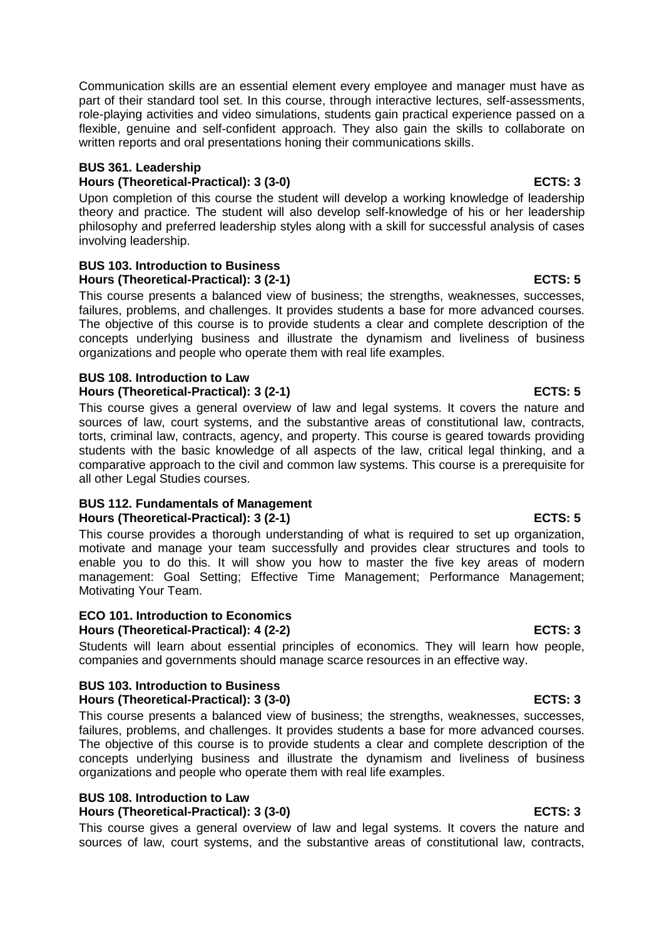Communication skills are an essential element every employee and manager must have as part of their standard tool set. In this course, through interactive lectures, self-assessments, role-playing activities and video simulations, students gain practical experience passed on a flexible, genuine and self-confident approach. They also gain the skills to collaborate on written reports and oral presentations honing their communications skills.

### **BUS 361. Leadership**

### **Hours (Theoretical-Practical): 3 (3-0) ECTS: 3**

Upon completion of this course the student will develop a working knowledge of leadership theory and practice. The student will also develop self-knowledge of his or her leadership philosophy and preferred leadership styles along with a skill for successful analysis of cases involving leadership.

#### **BUS 103. Introduction to Business Hours (Theoretical-Practical): 3 (2-1) ECTS: 5**

This course presents a balanced view of business; the strengths, weaknesses, successes, failures, problems, and challenges. It provides students a base for more advanced courses. The objective of this course is to provide students a clear and complete description of the concepts underlying business and illustrate the dynamism and liveliness of business organizations and people who operate them with real life examples.

### **BUS 108. Introduction to Law** Hours (Theoretical-Practical): 3 (2-1) **ECTS: 5**

This course gives a general overview of law and legal systems. It covers the nature and sources of law, court systems, and the substantive areas of constitutional law, contracts, torts, criminal law, contracts, agency, and property. This course is geared towards providing students with the basic knowledge of all aspects of the law, critical legal thinking, and a comparative approach to the civil and common law systems. This course is a prerequisite for all other Legal Studies courses.

### **BUS 112. Fundamentals of Management** Hours (Theoretical-Practical): 3 (2-1) ECTS: 5

This course provides a thorough understanding of what is required to set up organization, motivate and manage your team successfully and provides clear structures and tools to enable you to do this. It will show you how to master the five key areas of modern management: Goal Setting; Effective Time Management; Performance Management; Motivating Your Team.

### **ECO 101. Introduction to Economics** Hours (Theoretical-Practical): 4 (2-2) **ECTS: 3**

Students will learn about essential principles of economics. They will learn how people, companies and governments should manage scarce resources in an effective way.

### **BUS 103. Introduction to Business Hours (Theoretical-Practical): 3 (3-0) ECTS: 3**

This course presents a balanced view of business; the strengths, weaknesses, successes, failures, problems, and challenges. It provides students a base for more advanced courses. The objective of this course is to provide students a clear and complete description of the concepts underlying business and illustrate the dynamism and liveliness of business organizations and people who operate them with real life examples.

#### **BUS 108. Introduction to Law Hours (Theoretical-Practical): 3 (3-0) ECTS: 3**

This course gives a general overview of law and legal systems. It covers the nature and sources of law, court systems, and the substantive areas of constitutional law, contracts,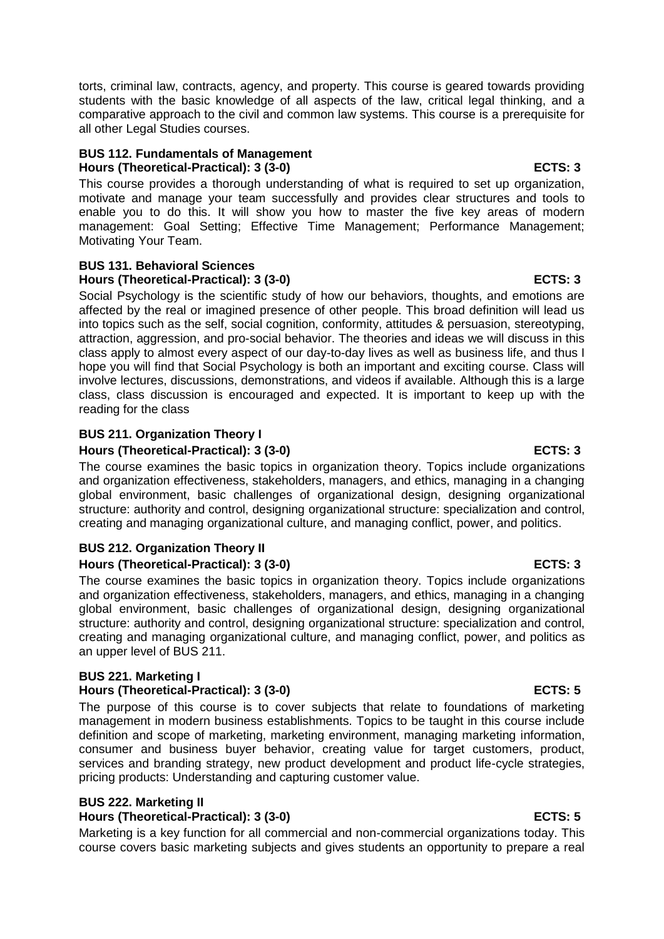torts, criminal law, contracts, agency, and property. This course is geared towards providing students with the basic knowledge of all aspects of the law, critical legal thinking, and a comparative approach to the civil and common law systems. This course is a prerequisite for all other Legal Studies courses.

### **BUS 112. Fundamentals of Management Hours (Theoretical-Practical): 3 (3-0) ECTS: 3**

This course provides a thorough understanding of what is required to set up organization, motivate and manage your team successfully and provides clear structures and tools to enable you to do this. It will show you how to master the five key areas of modern management: Goal Setting; Effective Time Management; Performance Management; Motivating Your Team.

#### **BUS 131. Behavioral Sciences Hours (Theoretical-Practical): 3 (3-0) ECTS: 3**

Social Psychology is the scientific study of how our behaviors, thoughts, and emotions are affected by the real or imagined presence of other people. This broad definition will lead us into topics such as the self, social cognition, conformity, attitudes & persuasion, stereotyping, attraction, aggression, and pro-social behavior. The theories and ideas we will discuss in this class apply to almost every aspect of our day-to-day lives as well as business life, and thus I hope you will find that Social Psychology is both an important and exciting course. Class will involve lectures, discussions, demonstrations, and videos if available. Although this is a large class, class discussion is encouraged and expected. It is important to keep up with the reading for the class

# **BUS 211. Organization Theory I**

# Hours (Theoretical-Practical): 3 (3-0) **ECTS: 3**

The course examines the basic topics in organization theory. Topics include organizations and organization effectiveness, stakeholders, managers, and ethics, managing in a changing global environment, basic challenges of organizational design, designing organizational structure: authority and control, designing organizational structure: specialization and control, creating and managing organizational culture, and managing conflict, power, and politics.

### **BUS 212. Organization Theory II Hours (Theoretical-Practical): 3 (3-0) ECTS: 3**

The course examines the basic topics in organization theory. Topics include organizations and organization effectiveness, stakeholders, managers, and ethics, managing in a changing global environment, basic challenges of organizational design, designing organizational structure: authority and control, designing organizational structure: specialization and control, creating and managing organizational culture, and managing conflict, power, and politics as an upper level of BUS 211.

# **BUS 221. Marketing I**

# **Hours (Theoretical-Practical): 3 (3-0) ECTS: 5**

The purpose of this course is to cover subjects that relate to foundations of marketing management in modern business establishments. Topics to be taught in this course include definition and scope of marketing, marketing environment, managing marketing information, consumer and business buyer behavior, creating value for target customers, product, services and branding strategy, new product development and product life-cycle strategies, pricing products: Understanding and capturing customer value.

# **BUS 222. Marketing II**

# **Hours (Theoretical-Practical): 3 (3-0) ECTS: 5**

Marketing is a key function for all commercial and non-commercial organizations today. This course covers basic marketing subjects and gives students an opportunity to prepare a real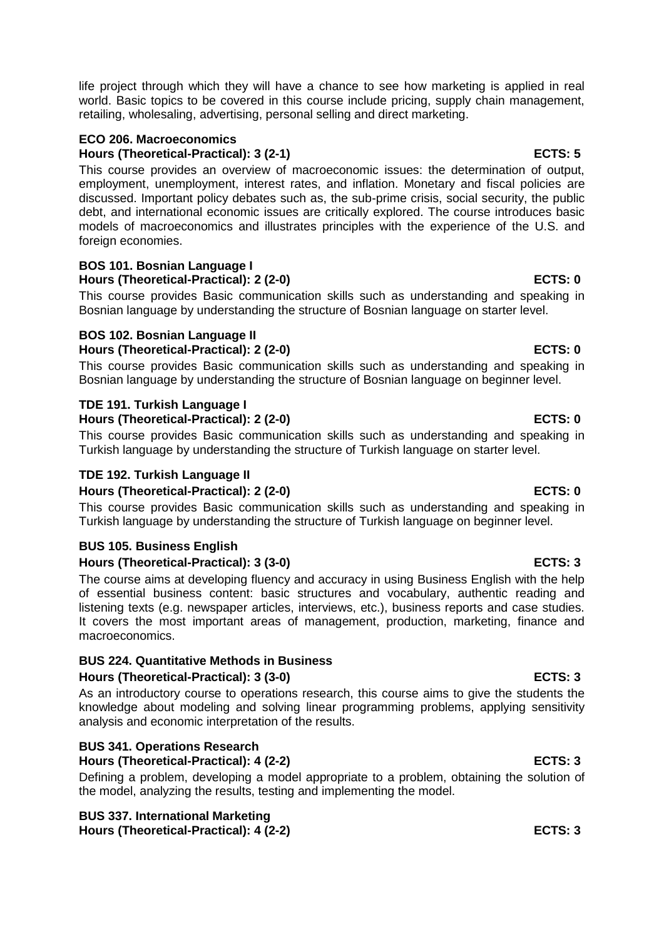life project through which they will have a chance to see how marketing is applied in real world. Basic topics to be covered in this course include pricing, supply chain management, retailing, wholesaling, advertising, personal selling and direct marketing.

### **ECO 206. Macroeconomics**

**Hours (Theoretical-Practical): 3 (2-1) ECTS: 5**

This course provides an overview of macroeconomic issues: the determination of output, employment, unemployment, interest rates, and inflation. Monetary and fiscal policies are discussed. Important policy debates such as, the sub-prime crisis, social security, the public debt, and international economic issues are critically explored. The course introduces basic models of macroeconomics and illustrates principles with the experience of the U.S. and foreign economies.

### **BOS 101. Bosnian Language I Hours (Theoretical-Practical): 2 (2-0) ECTS: 0**

This course provides Basic communication skills such as understanding and speaking in Bosnian language by understanding the structure of Bosnian language on starter level.

# **BOS 102. Bosnian Language II**

**Hours (Theoretical-Practical): 2 (2-0) ECTS: 0**

This course provides Basic communication skills such as understanding and speaking in Bosnian language by understanding the structure of Bosnian language on beginner level.

#### **TDE 191. Turkish Language I Hours (Theoretical-Practical): 2 (2-0) ECTS: 0**

This course provides Basic communication skills such as understanding and speaking in Turkish language by understanding the structure of Turkish language on starter level.

## **TDE 192. Turkish Language II**

## **Hours (Theoretical-Practical): 2 (2-0) ECTS: 0**

This course provides Basic communication skills such as understanding and speaking in Turkish language by understanding the structure of Turkish language on beginner level.

# **BUS 105. Business English**

### **Hours (Theoretical-Practical): 3 (3-0) ECTS: 3**

The course aims at developing fluency and accuracy in using Business English with the help of essential business content: basic structures and vocabulary, authentic reading and listening texts (e.g. newspaper articles, interviews, etc.), business reports and case studies. It covers the most important areas of management, production, marketing, finance and macroeconomics.

## **BUS 224. Quantitative Methods in Business**

### **Hours (Theoretical-Practical): 3 (3-0) ECTS: 3**

As an introductory course to operations research, this course aims to give the students the knowledge about modeling and solving linear programming problems, applying sensitivity analysis and economic interpretation of the results.

# **BUS 341. Operations Research**

**Hours (Theoretical-Practical): 4 (2-2) ECTS: 3**

Defining a problem, developing a model appropriate to a problem, obtaining the solution of the model, analyzing the results, testing and implementing the model.

#### **BUS 337. International Marketing Hours (Theoretical-Practical): 4 (2-2) ECTS: 3**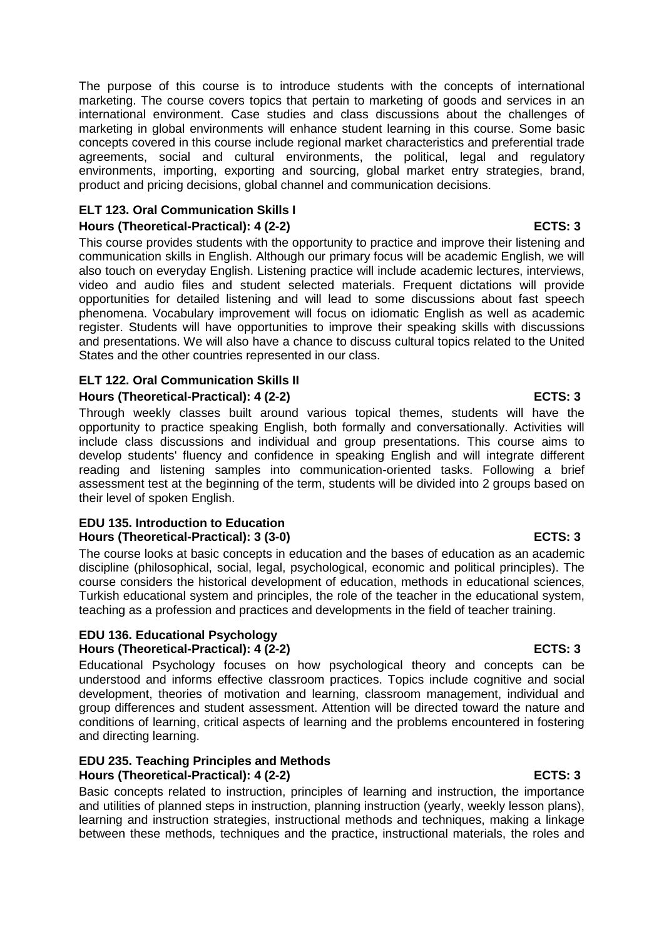The purpose of this course is to introduce students with the concepts of international marketing. The course covers topics that pertain to marketing of goods and services in an international environment. Case studies and class discussions about the challenges of marketing in global environments will enhance student learning in this course. Some basic concepts covered in this course include regional market characteristics and preferential trade agreements, social and cultural environments, the political, legal and regulatory environments, importing, exporting and sourcing, global market entry strategies, brand, product and pricing decisions, global channel and communication decisions.

# **ELT 123. Oral Communication Skills I**

### **Hours (Theoretical-Practical): 4 (2-2) ECTS: 3**

This course provides students with the opportunity to practice and improve their listening and communication skills in English. Although our primary focus will be academic English, we will also touch on everyday English. Listening practice will include academic lectures, interviews, video and audio files and student selected materials. Frequent dictations will provide opportunities for detailed listening and will lead to some discussions about fast speech phenomena. Vocabulary improvement will focus on idiomatic English as well as academic register. Students will have opportunities to improve their speaking skills with discussions and presentations. We will also have a chance to discuss cultural topics related to the United States and the other countries represented in our class.

## **ELT 122. Oral Communication Skills II**

### **Hours (Theoretical-Practical): 4 (2-2) ECTS: 3**

Through weekly classes built around various topical themes, students will have the opportunity to practice speaking English, both formally and conversationally. Activities will include class discussions and individual and group presentations. This course aims to develop students' fluency and confidence in speaking English and will integrate different reading and listening samples into communication-oriented tasks. Following a brief assessment test at the beginning of the term, students will be divided into 2 groups based on their level of spoken English.

#### **EDU 135. Introduction to Education Hours (Theoretical-Practical): 3 (3-0) ECTS: 3**

The course looks at basic concepts in education and the bases of education as an academic discipline (philosophical, social, legal, psychological, economic and political principles). The course considers the historical development of education, methods in educational sciences, Turkish educational system and principles, the role of the teacher in the educational system, teaching as a profession and practices and developments in the field of teacher training.

### **EDU 136. Educational Psychology** Hours (Theoretical-Practical): 4 (2-2) **ECTS: 3**

Educational Psychology focuses on how psychological theory and concepts can be understood and informs effective classroom practices. Topics include cognitive and social development, theories of motivation and learning, classroom management, individual and group differences and student assessment. Attention will be directed toward the nature and conditions of learning, critical aspects of learning and the problems encountered in fostering and directing learning.

### **EDU 235. Teaching Principles and Methods Hours (Theoretical-Practical): 4 (2-2) ECTS: 3**

Basic concepts related to instruction, principles of learning and instruction, the importance and utilities of planned steps in instruction, planning instruction (yearly, weekly lesson plans), learning and instruction strategies, instructional methods and techniques, making a linkage between these methods, techniques and the practice, instructional materials, the roles and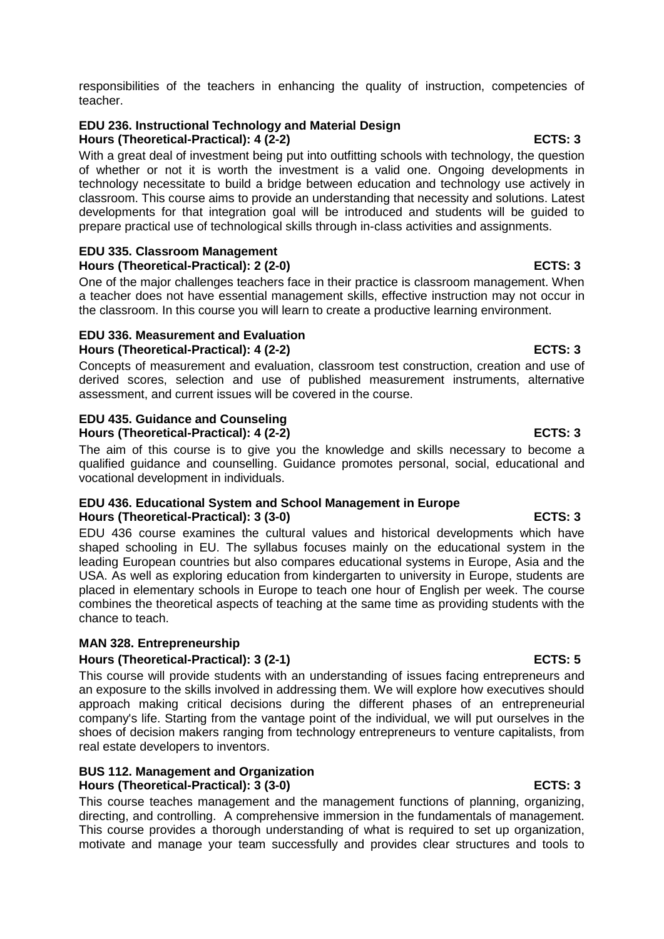responsibilities of the teachers in enhancing the quality of instruction, competencies of teacher.

### **EDU 236. Instructional Technology and Material Design** Hours (Theoretical-Practical): 4 (2-2) **ECTS: 3**

With a great deal of investment being put into outfitting schools with technology, the question of whether or not it is worth the investment is a valid one. Ongoing developments in technology necessitate to build a bridge between education and technology use actively in classroom. This course aims to provide an understanding that necessity and solutions. Latest developments for that integration goal will be introduced and students will be guided to prepare practical use of technological skills through in-class activities and assignments.

### **EDU 335. Classroom Management Hours (Theoretical-Practical): 2 (2-0) ECTS: 3**

One of the major challenges teachers face in their practice is classroom management. When a teacher does not have essential management skills, effective instruction may not occur in the classroom. In this course you will learn to create a productive learning environment.

#### **EDU 336. Measurement and Evaluation Hours (Theoretical-Practical): 4 (2-2) ECTS: 3**

Concepts of measurement and evaluation, classroom test construction, creation and use of derived scores, selection and use of published measurement instruments, alternative assessment, and current issues will be covered in the course.

# **EDU 435. Guidance and Counseling**

Hours (Theoretical-Practical): 4 (2-2) ECTS: 3

The aim of this course is to give you the knowledge and skills necessary to become a qualified guidance and counselling. Guidance promotes personal, social, educational and vocational development in individuals.

# **EDU 436. Educational System and School Management in Europe** Hours (Theoretical-Practical): 3 (3-0) **ECTS: 3**

EDU 436 course examines the cultural values and historical developments which have shaped schooling in EU. The syllabus focuses mainly on the educational system in the leading European countries but also compares educational systems in Europe, Asia and the USA. As well as exploring education from kindergarten to university in Europe, students are placed in elementary schools in Europe to teach one hour of English per week. The course combines the theoretical aspects of teaching at the same time as providing students with the chance to teach.

# **MAN 328. Entrepreneurship**

# **Hours (Theoretical-Practical): 3 (2-1) ECTS: 5**

This course will provide students with an understanding of issues facing entrepreneurs and an exposure to the skills involved in addressing them. We will explore how executives should approach making critical decisions during the different phases of an entrepreneurial company's life. Starting from the vantage point of the individual, we will put ourselves in the shoes of decision makers ranging from technology entrepreneurs to venture capitalists, from real estate developers to inventors.

### **BUS 112. Management and Organization**  Hours (Theoretical-Practical): 3 (3-0) **ECTS: 3**

This course teaches management and the management functions of planning, organizing, directing, and controlling. A comprehensive immersion in the fundamentals of management. This course provides a thorough understanding of what is required to set up organization, motivate and manage your team successfully and provides clear structures and tools to